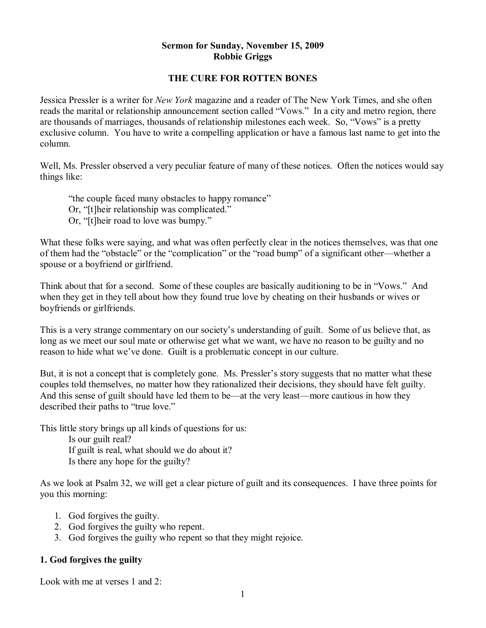#### **Sermon for Sunday, November 15, 2009 Robbie Griggs**

# **THE CURE FOR ROTTEN BONES**

Jessica Pressler is a writer for *New York* magazine and a reader of The New York Times, and she often reads the marital or relationship announcement section called "Vows." In a city and metro region, there are thousands of marriages, thousands of relationship milestones each week. So, "Vows" is a pretty exclusive column. You have to write a compelling application or have a famous last name to get into the column.

Well, Ms. Pressler observed a very peculiar feature of many of these notices. Often the notices would say things like:

"the couple faced many obstacles to happy romance" Or, "[t]heir relationship was complicated." Or, "[t]heir road to love was bumpy."

What these folks were saying, and what was often perfectly clear in the notices themselves, was that one of them had the "obstacle" or the "complication" or the "road bump" of a significant other—whether a spouse or a boyfriend or girlfriend.

Think about that for a second. Some of these couples are basically auditioning to be in "Vows." And when they get in they tell about how they found true love by cheating on their husbands or wives or boyfriends or girlfriends.

This is a very strange commentary on our society's understanding of guilt. Some of us believe that, as long as we meet our soul mate or otherwise get what we want, we have no reason to be guilty and no reason to hide what we've done. Guilt is a problematic concept in our culture.

But, it is not a concept that is completely gone. Ms. Pressler's story suggests that no matter what these couples told themselves, no matter how they rationalized their decisions, they should have felt guilty. And this sense of guilt should have led them to be—at the very least—more cautious in how they described their paths to "true love."

This little story brings up all kinds of questions for us:

Is our guilt real? If guilt is real, what should we do about it? Is there any hope for the guilty?

As we look at Psalm 32, we will get a clear picture of guilt and its consequences. I have three points for you this morning:

- 1. God forgives the guilty.
- 2. God forgives the guilty who repent.
- 3. God forgives the guilty who repent so that they might rejoice.

# **1. God forgives the guilty**

Look with me at verses 1 and 2.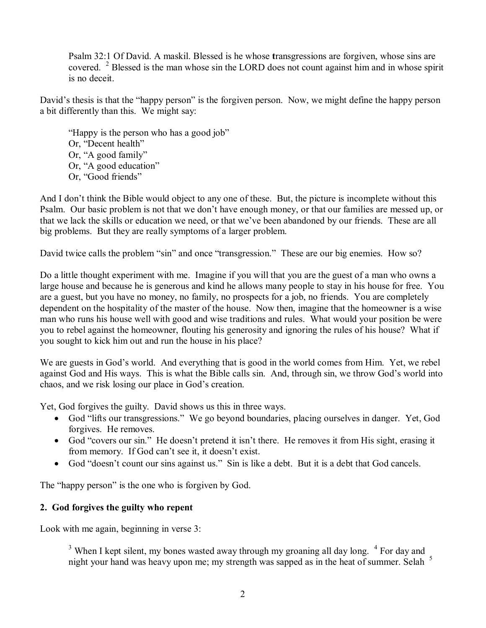Psalm 32:1 Of David. A maskil. Blessed is he whose **t**ransgressions are forgiven, whose sins are covered. <sup>2</sup> Blessed is the man whose sin the LORD does not count against him and in whose spirit is no deceit.

David's thesis is that the "happy person" is the forgiven person. Now, we might define the happy person a bit differently than this. We might say:

"Happy is the person who has a good job" Or, "Decent health" Or, "A good family" Or, "A good education" Or, "Good friends"

And I don't think the Bible would object to any one of these. But, the picture is incomplete without this Psalm. Our basic problem is not that we don't have enough money, or that our families are messed up, or that we lack the skills or education we need, or that we've been abandoned by our friends. These are all big problems. But they are really symptoms of a larger problem.

David twice calls the problem "sin" and once "transgression." These are our big enemies. How so?

Do a little thought experiment with me. Imagine if you will that you are the guest of a man who owns a large house and because he is generous and kind he allows many people to stay in his house for free. You are a guest, but you have no money, no family, no prospects for a job, no friends. You are completely dependent on the hospitality of the master of the house. Now then, imagine that the homeowner is a wise man who runs his house well with good and wise traditions and rules. What would your position be were you to rebel against the homeowner, flouting his generosity and ignoring the rules of his house? What if you sought to kick him out and run the house in his place?

We are guests in God's world. And everything that is good in the world comes from Him. Yet, we rebel against God and His ways. This is what the Bible calls sin. And, through sin, we throw God's world into chaos, and we risk losing our place in God's creation.

Yet, God forgives the guilty. David shows us this in three ways.

- · God "lifts our transgressions." We go beyond boundaries, placing ourselves in danger. Yet, God forgives. He removes.
- · God "covers our sin." He doesn't pretend it isn't there. He removes it from His sight, erasing it from memory. If God can't see it, it doesn't exist.
- God "doesn't count our sins against us." Sin is like a debt. But it is a debt that God cancels.

The "happy person" is the one who is forgiven by God.

# **2. God forgives the guilty who repent**

Look with me again, beginning in verse 3:

 $3$  When I kept silent, my bones wasted away through my groaning all day long.  $4$  For day and night your hand was heavy upon me; my strength was sapped as in the heat of summer. Selah <sup>5</sup>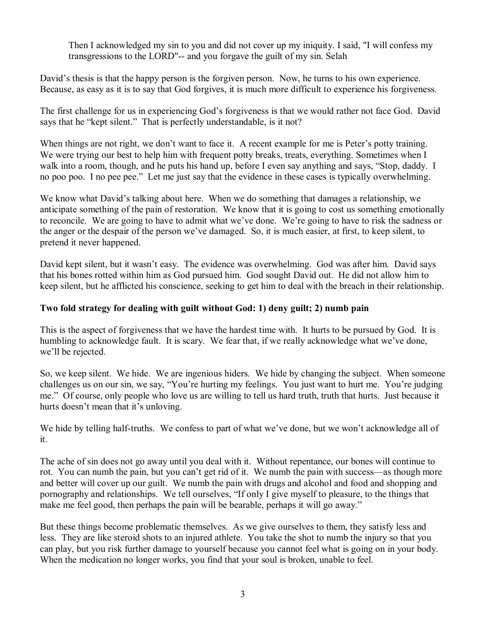Then I acknowledged my sin to you and did not cover up my iniquity. I said, "I will confess my transgressions to the LORD"-- and you forgave the guilt of my sin. Selah

David's thesis is that the happy person is the forgiven person. Now, he turns to his own experience. Because, as easy as it is to say that God forgives, it is much more difficult to experience his forgiveness.

The first challenge for us in experiencing God's forgiveness is that we would rather not face God. David says that he "kept silent." That is perfectly understandable, is it not?

When things are not right, we don't want to face it. A recent example for me is Peter's potty training. We were trying our best to help him with frequent potty breaks, treats, everything. Sometimes when I walk into a room, though, and he puts his hand up, before I even say anything and says, "Stop, daddy. I no poo poo. I no pee pee." Let me just say that the evidence in these cases is typically overwhelming.

We know what David's talking about here. When we do something that damages a relationship, we anticipate something of the pain of restoration. We know that it is going to cost us something emotionally to reconcile. We are going to have to admit what we've done. We're going to have to risk the sadness or the anger or the despair of the person we've damaged. So, it is much easier, at first, to keep silent, to pretend it never happened.

David kept silent, but it wasn't easy. The evidence was overwhelming. God was after him. David says that his bones rotted within him as God pursued him. God sought David out. He did not allow him to keep silent, but he afflicted his conscience, seeking to get him to deal with the breach in their relationship.

# **Two fold strategy for dealing with guilt without God: 1) deny guilt; 2) numb pain**

This is the aspect of forgiveness that we have the hardest time with. It hurts to be pursued by God. It is humbling to acknowledge fault. It is scary. We fear that, if we really acknowledge what we've done, we'll be rejected.

So, we keep silent. We hide. We are ingenious hiders. We hide by changing the subject. When someone challenges us on our sin, we say, "You're hurting my feelings. You just want to hurt me. You're judging me." Of course, only people who love us are willing to tell us hard truth, truth that hurts. Just because it hurts doesn't mean that it's unloving.

We hide by telling half-truths. We confess to part of what we've done, but we won't acknowledge all of it.

The ache of sin does not go away until you deal with it. Without repentance, our bones will continue to rot. You can numb the pain, but you can't get rid of it. We numb the pain with success—as though more and better will cover up our guilt. We numb the pain with drugs and alcohol and food and shopping and pornography and relationships. We tell ourselves, "If only I give myself to pleasure, to the things that make me feel good, then perhaps the pain will be bearable, perhaps it will go away."

But these things become problematic themselves. As we give ourselves to them, they satisfy less and less. They are like steroid shots to an injured athlete. You take the shot to numb the injury so that you can play, but you risk further damage to yourself because you cannot feel what is going on in your body. When the medication no longer works, you find that your soul is broken, unable to feel.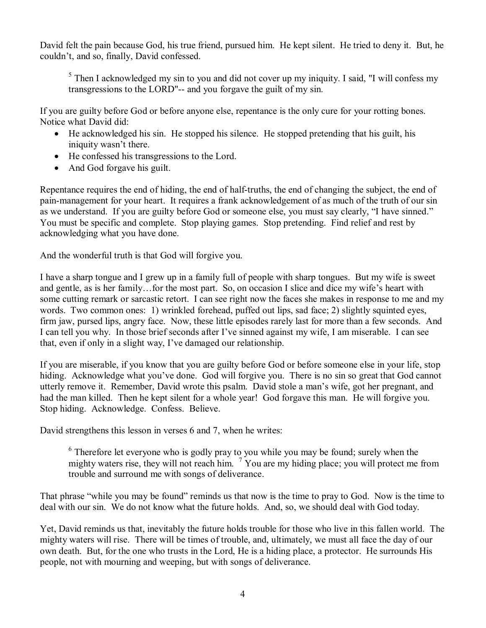David felt the pain because God, his true friend, pursued him. He kept silent. He tried to deny it. But, he couldn't, and so, finally, David confessed.

 $5$  Then I acknowledged my sin to you and did not cover up my iniquity. I said, "I will confess my transgressions to the LORD"-- and you forgave the guilt of my sin.

If you are guilty before God or before anyone else, repentance is the only cure for your rotting bones. Notice what David did:

- He acknowledged his sin. He stopped his silence. He stopped pretending that his guilt, his iniquity wasn't there.
- · He confessed his transgressions to the Lord.
- And God for gave his guilt.

Repentance requires the end of hiding, the end of half-truths, the end of changing the subject, the end of pain-management for your heart. It requires a frank acknowledgement of as much of the truth of our sin as we understand. If you are guilty before God or someone else, you must say clearly, "I have sinned." You must be specific and complete. Stop playing games. Stop pretending. Find relief and rest by acknowledging what you have done.

And the wonderful truth is that God will forgive you.

I have a sharp tongue and I grew up in a family full of people with sharp tongues. But my wife is sweet and gentle, as is her family…for the most part. So, on occasion Islice and dice my wife's heart with some cutting remark or sarcastic retort. I can see right now the faces she makes in response to me and my words. Two common ones: 1) wrinkled forehead, puffed out lips, sad face; 2) slightly squinted eyes, firm jaw, pursed lips, angry face. Now, these little episodes rarely last for more than a few seconds. And I can tell you why. In those brief seconds after I've sinned against my wife, I am miserable. I can see that, even if only in a slight way, I've damaged our relationship.

If you are miserable, if you know that you are guilty before God or before someone else in your life, stop hiding. Acknowledge what you've done. God will forgive you. There is no sin so great that God cannot utterly remove it. Remember, David wrote this psalm. David stole a man's wife, got her pregnant, and had the man killed. Then he kept silent for a whole year! God forgave this man. He will forgive you. Stop hiding. Acknowledge. Confess. Believe.

David strengthens this lesson in verses 6 and 7, when he writes:

<sup>6</sup> Therefore let everyone who is godly pray to you while you may be found; surely when the mighty waters rise, they will not reach him.  $\frac{7}{1}$  You are my hiding place; you will protect me from trouble and surround me with songs of deliverance.

That phrase "while you may be found" reminds us that now is the time to pray to God. Now is the time to deal with our sin. We do not know what the future holds. And, so, we should deal with God today.

Yet, David reminds us that, inevitably the future holds trouble for those who live in this fallen world. The mighty waters will rise. There will be times of trouble, and, ultimately, we must all face the day of our own death. But, for the one who trusts in the Lord, He is a hiding place, a protector. He surrounds His people, not with mourning and weeping, but with songs of deliverance.